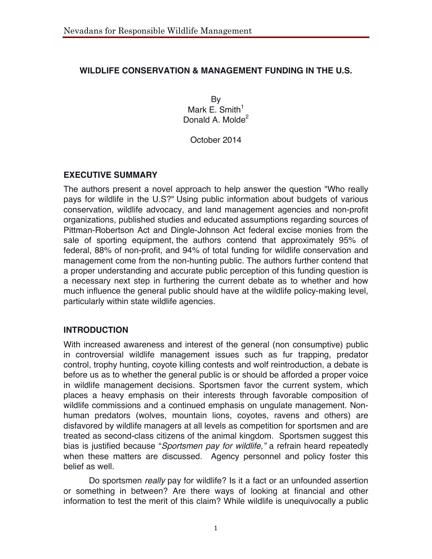## **WILDLIFE CONSERVATION & MANAGEMENT FUNDING IN THE U.S.**

By Mark E. Smith $1$ Donald A. Molde<sup>2</sup>

October 2014

## **EXECUTIVE SUMMARY**

The authors present a novel approach to help answer the question "Who really pays for wildlife in the U.S?" Using public information about budgets of various conservation, wildlife advocacy, and land management agencies and non-profit organizations, published studies and educated assumptions regarding sources of Pittman-Robertson Act and Dingle-Johnson Act federal excise monies from the sale of sporting equipment, the authors contend that approximately 95% of federal, 88% of non-profit, and 94% of total funding for wildlife conservation and management come from the non-hunting public. The authors further contend that a proper understanding and accurate public perception of this funding question is a necessary next step in furthering the current debate as to whether and how much influence the general public should have at the wildlife policy-making level, particularly within state wildlife agencies.

## **INTRODUCTION**

With increased awareness and interest of the general (non consumptive) public in controversial wildlife management issues such as fur trapping, predator control, trophy hunting, coyote killing contests and wolf reintroduction, a debate is before us as to whether the general public is or should be afforded a proper voice in wildlife management decisions. Sportsmen favor the current system, which places a heavy emphasis on their interests through favorable composition of wildlife commissions and a continued emphasis on ungulate management. Nonhuman predators (wolves, mountain lions, coyotes, ravens and others) are disfavored by wildlife managers at all levels as competition for sportsmen and are treated as second-class citizens of the animal kingdom. Sportsmen suggest this bias is justified because "*Sportsmen pay for wildlife,"* a refrain heard repeatedly when these matters are discussed. Agency personnel and policy foster this belief as well.

Do sportsmen *really* pay for wildlife? Is it a fact or an unfounded assertion or something in between? Are there ways of looking at financial and other information to test the merit of this claim? While wildlife is unequivocally a public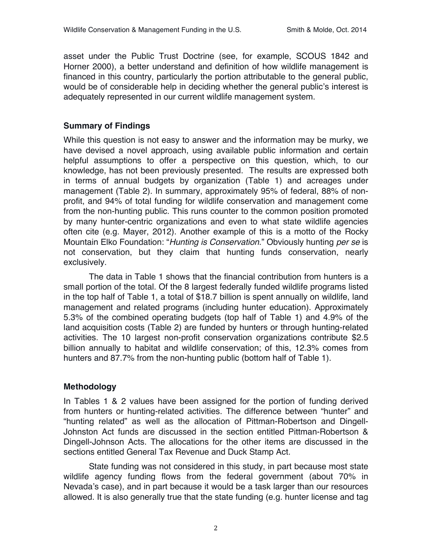asset under the Public Trust Doctrine (see, for example, SCOUS 1842 and Horner 2000), a better understand and definition of how wildlife management is financed in this country, particularly the portion attributable to the general public, would be of considerable help in deciding whether the general public's interest is adequately represented in our current wildlife management system.

## **Summary of Findings**

While this question is not easy to answer and the information may be murky, we have devised a novel approach, using available public information and certain helpful assumptions to offer a perspective on this question, which, to our knowledge, has not been previously presented. The results are expressed both in terms of annual budgets by organization (Table 1) and acreages under management (Table 2). In summary, approximately 95% of federal, 88% of nonprofit, and 94% of total funding for wildlife conservation and management come from the non-hunting public. This runs counter to the common position promoted by many hunter-centric organizations and even to what state wildlife agencies often cite (e.g. Mayer, 2012). Another example of this is a motto of the Rocky Mountain Elko Foundation: "*Hunting is Conservation*." Obviously hunting *per se* is not conservation, but they claim that hunting funds conservation, nearly exclusively.

The data in Table 1 shows that the financial contribution from hunters is a small portion of the total. Of the 8 largest federally funded wildlife programs listed in the top half of Table 1, a total of \$18.7 billion is spent annually on wildlife, land management and related programs (including hunter education). Approximately 5.3% of the combined operating budgets (top half of Table 1) and 4.9% of the land acquisition costs (Table 2) are funded by hunters or through hunting-related activities. The 10 largest non-profit conservation organizations contribute \$2.5 billion annually to habitat and wildlife conservation; of this, 12.3% comes from hunters and 87.7% from the non-hunting public (bottom half of Table 1).

#### **Methodology**

In Tables 1 & 2 values have been assigned for the portion of funding derived from hunters or hunting-related activities. The difference between "hunter" and "hunting related" as well as the allocation of Pittman-Robertson and Dingell-Johnston Act funds are discussed in the section entitled Pittman-Robertson & Dingell-Johnson Acts. The allocations for the other items are discussed in the sections entitled General Tax Revenue and Duck Stamp Act.

State funding was not considered in this study, in part because most state wildlife agency funding flows from the federal government (about 70% in Nevada's case), and in part because it would be a task larger than our resources allowed. It is also generally true that the state funding (e.g. hunter license and tag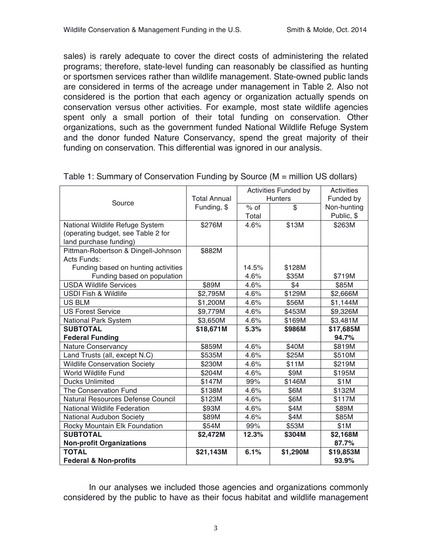sales) is rarely adequate to cover the direct costs of administering the related programs; therefore, state-level funding can reasonably be classified as hunting or sportsmen services rather than wildlife management. State-owned public lands are considered in terms of the acreage under management in Table 2. Also not considered is the portion that each agency or organization actually spends on conservation versus other activities. For example, most state wildlife agencies spent only a small portion of their total funding on conservation. Other organizations, such as the government funded National Wildlife Refuge System and the donor funded Nature Conservancy, spend the great majority of their funding on conservation. This differential was ignored in our analysis.

|                                      |                     |        | <b>Activities Funded by</b> | <b>Activities</b> |
|--------------------------------------|---------------------|--------|-----------------------------|-------------------|
| Source                               | <b>Total Annual</b> |        | <b>Hunters</b>              | Funded by         |
|                                      | Funding, \$         | $%$ of | $\overline{\mathbb{S}}$     | Non-hunting       |
|                                      |                     | Total  |                             | Public, \$        |
| National Wildlife Refuge System      | \$276M              | 4.6%   | \$13M                       | \$263M            |
| (operating budget, see Table 2 for   |                     |        |                             |                   |
| land purchase funding)               |                     |        |                             |                   |
| Pittman-Robertson & Dingell-Johnson  | \$882M              |        |                             |                   |
| Acts Funds:                          |                     |        |                             |                   |
| Funding based on hunting activities  |                     | 14.5%  | \$128M                      |                   |
| Funding based on population          |                     | 4.6%   | \$35M                       | \$719M            |
| <b>USDA Wildlife Services</b>        | \$89M               | 4.6%   | \$4                         | \$85M             |
| <b>USDI Fish &amp; Wildlife</b>      | \$2,795M            | 4.6%   | \$129M                      | \$2,666M          |
| <b>US BLM</b>                        | \$1,200M            | 4.6%   | \$56M                       | \$1,144M          |
| <b>US Forest Service</b>             | \$9,779M            | 4.6%   | \$453M                      | \$9,326M          |
| National Park System                 | \$3,650M            | 4.6%   | \$169M                      | \$3,481M          |
| <b>SUBTOTAL</b>                      | \$18,671M           | 5.3%   | \$986M                      | \$17,685M         |
| <b>Federal Funding</b>               |                     |        |                             | 94.7%             |
| <b>Nature Conservancy</b>            | \$859M              | 4.6%   | \$40M                       | \$819M            |
| Land Trusts (all, except N.C)        | \$535M              | 4.6%   | \$25M                       | \$510M            |
| <b>Wildlife Conservation Society</b> | \$230M              | 4.6%   | \$11M                       | \$219M            |
| <b>World Wildlife Fund</b>           | \$204M              | 4.6%   | \$9M                        | \$195M            |
| <b>Ducks Unlimited</b>               | \$147M              | 99%    | \$146M                      | \$1M              |
| The Conservation Fund                | \$138M              | 4.6%   | \$6M                        | \$132M            |
| Natural Resources Defense Council    | \$123M              | 4.6%   | \$6M                        | \$117M            |
| <b>National Wildlife Federation</b>  | \$93M               | 4.6%   | \$4M                        | \$89M             |
| National Audubon Society             | \$89M               | 4.6%   | \$4M                        | \$85M             |
| Rocky Mountain Elk Foundation        | \$54M               | 99%    | \$53M                       | \$1M              |
| <b>SUBTOTAL</b>                      | \$2,472M            | 12.3%  | \$304M                      | \$2,168M          |
| <b>Non-profit Organizations</b>      |                     |        |                             | 87.7%             |
| <b>TOTAL</b>                         | \$21,143M           | 6.1%   | \$1,290M                    | \$19,853M         |
| <b>Federal &amp; Non-profits</b>     |                     |        |                             | 93.9%             |

Table 1: Summary of Conservation Funding by Source (M = million US dollars)

In our analyses we included those agencies and organizations commonly considered by the public to have as their focus habitat and wildlife management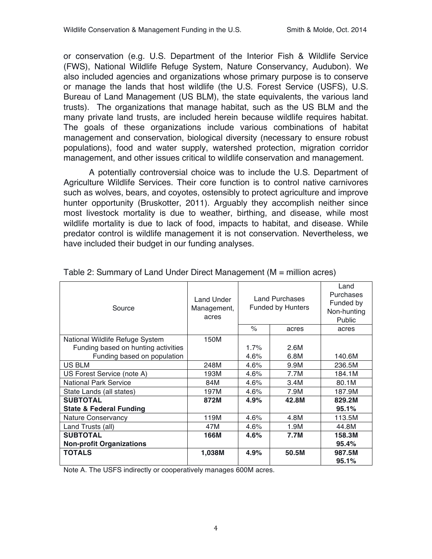or conservation (e.g. U.S. Department of the Interior Fish & Wildlife Service (FWS), National Wildlife Refuge System, Nature Conservancy, Audubon). We also included agencies and organizations whose primary purpose is to conserve or manage the lands that host wildlife (the U.S. Forest Service (USFS), U.S. Bureau of Land Management (US BLM), the state equivalents, the various land trusts). The organizations that manage habitat, such as the US BLM and the many private land trusts, are included herein because wildlife requires habitat. The goals of these organizations include various combinations of habitat management and conservation, biological diversity (necessary to ensure robust populations), food and water supply, watershed protection, migration corridor management, and other issues critical to wildlife conservation and management.

A potentially controversial choice was to include the U.S. Department of Agriculture Wildlife Services. Their core function is to control native carnivores such as wolves, bears, and coyotes, ostensibly to protect agriculture and improve hunter opportunity (Bruskotter, 2011). Arguably they accomplish neither since most livestock mortality is due to weather, birthing, and disease, while most wildlife mortality is due to lack of food, impacts to habitat, and disease. While predator control is wildlife management it is not conservation. Nevertheless, we have included their budget in our funding analyses.

| Source                              | Land Under<br>Management,<br>acres | <b>Land Purchases</b><br><b>Funded by Hunters</b><br>$\%$<br>acres |       | Land<br>Purchases<br>Funded by<br>Non-hunting<br><b>Public</b><br>acres |
|-------------------------------------|------------------------------------|--------------------------------------------------------------------|-------|-------------------------------------------------------------------------|
|                                     |                                    |                                                                    |       |                                                                         |
| National Wildlife Refuge System     | 150M                               |                                                                    |       |                                                                         |
| Funding based on hunting activities |                                    | 1.7%                                                               | 2.6M  |                                                                         |
| Funding based on population         |                                    | 4.6%                                                               | 6.8M  | 140.6M                                                                  |
| <b>US BLM</b>                       | 248M                               | 4.6%                                                               | 9.9M  | 236.5M                                                                  |
| US Forest Service (note A)          | 193M                               | 4.6%                                                               | 7.7M  | 184.1M                                                                  |
| <b>National Park Service</b>        | 84M                                | 4.6%                                                               | 3.4M  | 80.1M                                                                   |
| State Lands (all states)            | 197M                               | 4.6%                                                               | 7.9M  | 187.9M                                                                  |
| <b>SUBTOTAL</b>                     | 872M                               | 4.9%                                                               | 42.8M | 829.2M                                                                  |
| <b>State &amp; Federal Funding</b>  |                                    |                                                                    |       | 95.1%                                                                   |
| <b>Nature Conservancy</b>           | 119M                               | 4.6%                                                               | 4.8M  | 113.5M                                                                  |
| Land Trusts (all)                   | 47M                                | 4.6%                                                               | 1.9M  | 44.8M                                                                   |
| <b>SUBTOTAL</b>                     | 166M                               | 4.6%                                                               | 7.7M  | 158.3M                                                                  |
| <b>Non-profit Organizations</b>     |                                    |                                                                    |       | 95.4%                                                                   |
| <b>TOTALS</b>                       | 1,038M                             | 4.9%                                                               | 50.5M | 987.5M                                                                  |
|                                     |                                    |                                                                    |       | 95.1%                                                                   |

Table 2: Summary of Land Under Direct Management (M = million acres)

Note A. The USFS indirectly or cooperatively manages 600M acres.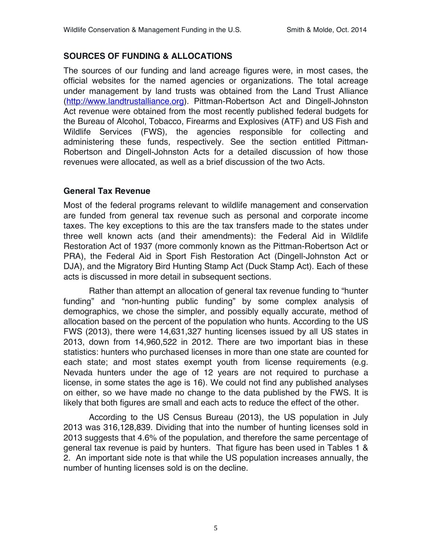## **SOURCES OF FUNDING & ALLOCATIONS**

The sources of our funding and land acreage figures were, in most cases, the official websites for the named agencies or organizations. The total acreage under management by land trusts was obtained from the Land Trust Alliance (http://www.landtrustalliance.org). Pittman-Robertson Act and Dingell-Johnston Act revenue were obtained from the most recently published federal budgets for the Bureau of Alcohol, Tobacco, Firearms and Explosives (ATF) and US Fish and Wildlife Services (FWS), the agencies responsible for collecting and administering these funds, respectively. See the section entitled Pittman-Robertson and Dingell-Johnston Acts for a detailed discussion of how those revenues were allocated, as well as a brief discussion of the two Acts.

## **General Tax Revenue**

Most of the federal programs relevant to wildlife management and conservation are funded from general tax revenue such as personal and corporate income taxes. The key exceptions to this are the tax transfers made to the states under three well known acts (and their amendments): the Federal Aid in Wildlife Restoration Act of 1937 (more commonly known as the Pittman-Robertson Act or PRA), the Federal Aid in Sport Fish Restoration Act (Dingell-Johnston Act or DJA), and the Migratory Bird Hunting Stamp Act (Duck Stamp Act). Each of these acts is discussed in more detail in subsequent sections.

Rather than attempt an allocation of general tax revenue funding to "hunter funding" and "non-hunting public funding" by some complex analysis of demographics, we chose the simpler, and possibly equally accurate, method of allocation based on the percent of the population who hunts. According to the US FWS (2013), there were 14,631,327 hunting licenses issued by all US states in 2013, down from 14,960,522 in 2012. There are two important bias in these statistics: hunters who purchased licenses in more than one state are counted for each state; and most states exempt youth from license requirements (e.g. Nevada hunters under the age of 12 years are not required to purchase a license, in some states the age is 16). We could not find any published analyses on either, so we have made no change to the data published by the FWS. It is likely that both figures are small and each acts to reduce the effect of the other.

According to the US Census Bureau (2013), the US population in July 2013 was 316,128,839. Dividing that into the number of hunting licenses sold in 2013 suggests that 4.6% of the population, and therefore the same percentage of general tax revenue is paid by hunters. That figure has been used in Tables 1 & 2. An important side note is that while the US population increases annually, the number of hunting licenses sold is on the decline.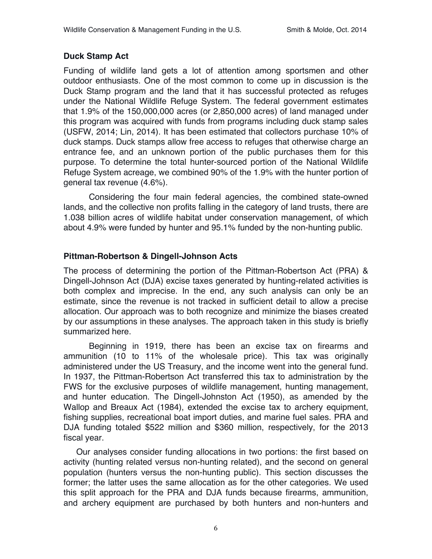### **Duck Stamp Act**

Funding of wildlife land gets a lot of attention among sportsmen and other outdoor enthusiasts. One of the most common to come up in discussion is the Duck Stamp program and the land that it has successful protected as refuges under the National Wildlife Refuge System. The federal government estimates that 1.9% of the 150,000,000 acres (or 2,850,000 acres) of land managed under this program was acquired with funds from programs including duck stamp sales (USFW, 2014; Lin, 2014). It has been estimated that collectors purchase 10% of duck stamps. Duck stamps allow free access to refuges that otherwise charge an entrance fee, and an unknown portion of the public purchases them for this purpose. To determine the total hunter-sourced portion of the National Wildlife Refuge System acreage, we combined 90% of the 1.9% with the hunter portion of general tax revenue (4.6%).

Considering the four main federal agencies, the combined state-owned lands, and the collective non profits falling in the category of land trusts, there are 1.038 billion acres of wildlife habitat under conservation management, of which about 4.9% were funded by hunter and 95.1% funded by the non-hunting public.

## **Pittman-Robertson & Dingell-Johnson Acts**

The process of determining the portion of the Pittman-Robertson Act (PRA) & Dingell-Johnson Act (DJA) excise taxes generated by hunting-related activities is both complex and imprecise. In the end, any such analysis can only be an estimate, since the revenue is not tracked in sufficient detail to allow a precise allocation. Our approach was to both recognize and minimize the biases created by our assumptions in these analyses. The approach taken in this study is briefly summarized here.

Beginning in 1919, there has been an excise tax on firearms and ammunition (10 to 11% of the wholesale price). This tax was originally administered under the US Treasury, and the income went into the general fund. In 1937, the Pittman-Robertson Act transferred this tax to administration by the FWS for the exclusive purposes of wildlife management, hunting management, and hunter education. The Dingell-Johnston Act (1950), as amended by the Wallop and Breaux Act (1984), extended the excise tax to archery equipment, fishing supplies, recreational boat import duties, and marine fuel sales. PRA and DJA funding totaled \$522 million and \$360 million, respectively, for the 2013 fiscal year.

Our analyses consider funding allocations in two portions: the first based on activity (hunting related versus non-hunting related), and the second on general population (hunters versus the non-hunting public). This section discusses the former; the latter uses the same allocation as for the other categories. We used this split approach for the PRA and DJA funds because firearms, ammunition, and archery equipment are purchased by both hunters and non-hunters and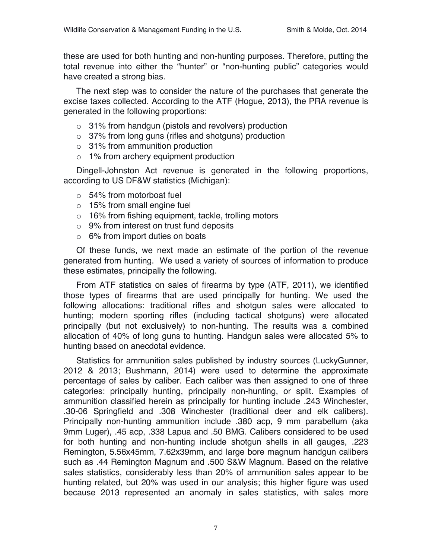these are used for both hunting and non-hunting purposes. Therefore, putting the total revenue into either the "hunter" or "non-hunting public" categories would have created a strong bias.

The next step was to consider the nature of the purchases that generate the excise taxes collected. According to the ATF (Hogue, 2013), the PRA revenue is generated in the following proportions:

- o 31% from handgun (pistols and revolvers) production
- o 37% from long guns (rifles and shotguns) production
- o 31% from ammunition production
- o 1% from archery equipment production

Dingell-Johnston Act revenue is generated in the following proportions, according to US DF&W statistics (Michigan):

- o 54% from motorboat fuel
- o 15% from small engine fuel
- o 16% from fishing equipment, tackle, trolling motors
- o 9% from interest on trust fund deposits
- $\circ$  6% from import duties on boats

Of these funds, we next made an estimate of the portion of the revenue generated from hunting. We used a variety of sources of information to produce these estimates, principally the following.

From ATF statistics on sales of firearms by type (ATF, 2011), we identified those types of firearms that are used principally for hunting. We used the following allocations: traditional rifles and shotgun sales were allocated to hunting; modern sporting rifles (including tactical shotguns) were allocated principally (but not exclusively) to non-hunting. The results was a combined allocation of 40% of long guns to hunting. Handgun sales were allocated 5% to hunting based on anecdotal evidence.

Statistics for ammunition sales published by industry sources (LuckyGunner, 2012 & 2013; Bushmann, 2014) were used to determine the approximate percentage of sales by caliber. Each caliber was then assigned to one of three categories: principally hunting, principally non-hunting, or split. Examples of ammunition classified herein as principally for hunting include .243 Winchester, .30-06 Springfield and .308 Winchester (traditional deer and elk calibers). Principally non-hunting ammunition include .380 acp, 9 mm parabellum (aka 9mm Luger), .45 acp, .338 Lapua and .50 BMG. Calibers considered to be used for both hunting and non-hunting include shotgun shells in all gauges, .223 Remington, 5.56x45mm, 7.62x39mm, and large bore magnum handgun calibers such as .44 Remington Magnum and .500 S&W Magnum. Based on the relative sales statistics, considerably less than 20% of ammunition sales appear to be hunting related, but 20% was used in our analysis; this higher figure was used because 2013 represented an anomaly in sales statistics, with sales more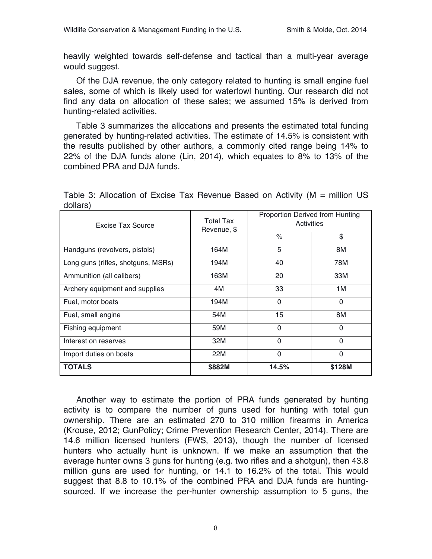heavily weighted towards self-defense and tactical than a multi-year average would suggest.

Of the DJA revenue, the only category related to hunting is small engine fuel sales, some of which is likely used for waterfowl hunting. Our research did not find any data on allocation of these sales; we assumed 15% is derived from hunting-related activities.

Table 3 summarizes the allocations and presents the estimated total funding generated by hunting-related activities. The estimate of 14.5% is consistent with the results published by other authors, a commonly cited range being 14% to 22% of the DJA funds alone (Lin, 2014), which equates to 8% to 13% of the combined PRA and DJA funds.

Table 3: Allocation of Excise Tax Revenue Based on Activity (M = million US dollars)

| Excise Tax Source                  | Total Tax<br>Revenue, \$ | Proportion Derived from Hunting<br>Activities |              |  |
|------------------------------------|--------------------------|-----------------------------------------------|--------------|--|
|                                    |                          | $\frac{1}{\sqrt{2}}$                          | \$           |  |
| Handguns (revolvers, pistols)      | 164M                     | 5                                             | 8M           |  |
| Long guns (rifles, shotguns, MSRs) | 194M                     | 40                                            | 78M          |  |
| Ammunition (all calibers)          | 163M                     | 20                                            | 33M          |  |
| Archery equipment and supplies     | 4M                       | 33                                            | 1M           |  |
| Fuel, motor boats                  | 194M                     | 0                                             | $\mathbf{0}$ |  |
| Fuel, small engine                 | 54M                      | 15                                            | 8M           |  |
| Fishing equipment                  | 59M                      | $\overline{0}$                                | $\Omega$     |  |
| Interest on reserves               | 32M                      | $\overline{0}$                                | $\Omega$     |  |
| Import duties on boats             | 22M                      | 0                                             | $\mathbf{0}$ |  |
| <b>TOTALS</b>                      | \$882M                   | 14.5%                                         | \$128M       |  |

Another way to estimate the portion of PRA funds generated by hunting activity is to compare the number of guns used for hunting with total gun ownership. There are an estimated 270 to 310 million firearms in America (Krouse, 2012; GunPolicy; Crime Prevention Research Center, 2014). There are 14.6 million licensed hunters (FWS, 2013), though the number of licensed hunters who actually hunt is unknown. If we make an assumption that the average hunter owns 3 guns for hunting (e.g. two rifles and a shotgun), then 43.8 million guns are used for hunting, or 14.1 to 16.2% of the total. This would suggest that 8.8 to 10.1% of the combined PRA and DJA funds are huntingsourced. If we increase the per-hunter ownership assumption to 5 guns, the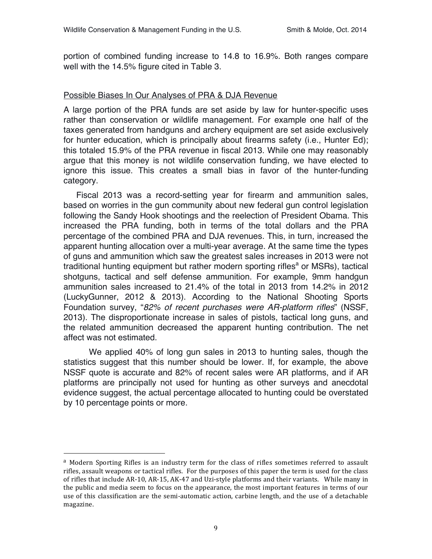portion of combined funding increase to 14.8 to 16.9%. Both ranges compare well with the 14.5% figure cited in Table 3.

#### Possible Biases In Our Analyses of PRA & DJA Revenue

A large portion of the PRA funds are set aside by law for hunter-specific uses rather than conservation or wildlife management. For example one half of the taxes generated from handguns and archery equipment are set aside exclusively for hunter education, which is principally about firearms safety (i.e., Hunter Ed); this totaled 15.9% of the PRA revenue in fiscal 2013. While one may reasonably argue that this money is not wildlife conservation funding, we have elected to ignore this issue. This creates a small bias in favor of the hunter-funding category.

Fiscal 2013 was a record-setting year for firearm and ammunition sales, based on worries in the gun community about new federal gun control legislation following the Sandy Hook shootings and the reelection of President Obama. This increased the PRA funding, both in terms of the total dollars and the PRA percentage of the combined PRA and DJA revenues. This, in turn, increased the apparent hunting allocation over a multi-year average. At the same time the types of guns and ammunition which saw the greatest sales increases in 2013 were not traditional hunting equipment but rather modern sporting rifles<sup>a</sup> or MSRs), tactical shotguns, tactical and self defense ammunition. For example, 9mm handgun ammunition sales increased to 21.4% of the total in 2013 from 14.2% in 2012 (LuckyGunner, 2012 & 2013). According to the National Shooting Sports Foundation survey, "*82% of recent purchases were AR-platform rifles*" (NSSF, 2013). The disproportionate increase in sales of pistols, tactical long guns, and the related ammunition decreased the apparent hunting contribution. The net affect was not estimated.

We applied 40% of long gun sales in 2013 to hunting sales, though the statistics suggest that this number should be lower. If, for example, the above NSSF quote is accurate and 82% of recent sales were AR platforms, and if AR platforms are principally not used for hunting as other surveys and anecdotal evidence suggest, the actual percentage allocated to hunting could be overstated by 10 percentage points or more.

!!!!!!!!!!!!!!!!!!!!!!!!!!!!!!!!!!!!!!!!!!!!!!!!!!!!!!!

<sup>&</sup>lt;sup>a</sup> Modern Sporting Rifles is an industry term for the class of rifles sometimes referred to assault rifles, assault weapons or tactical rifles. For the purposes of this paper the term is used for the class of rifles that include AR-10, AR-15, AK-47 and Uzi-style platforms and their variants. While many in the public and media seem to focus on the appearance, the most important features in terms of our use of this classification are the semi-automatic action, carbine length, and the use of a detachable magazine.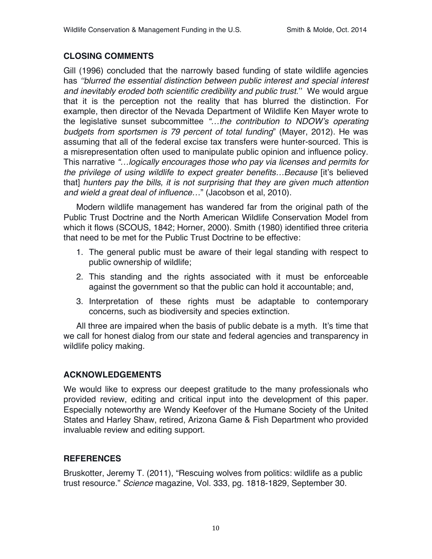# **CLOSING COMMENTS**

Gill (1996) concluded that the narrowly based funding of state wildlife agencies has *''blurred the essential distinction between public interest and special interest and inevitably eroded both scientific credibility and public trust.*'' We would argue that it is the perception not the reality that has blurred the distinction*.* For example, then director of the Nevada Department of Wildlife Ken Mayer wrote to the legislative sunset subcommittee *"…the contribution to NDOW's operating budgets from sportsmen is 79 percent of total funding*" (Mayer, 2012). He was assuming that all of the federal excise tax transfers were hunter-sourced. This is a misrepresentation often used to manipulate public opinion and influence policy. This narrative *"…logically encourages those who pay via licenses and permits for the privilege of using wildlife to expect greater benefits…Because* [it's believed that] *hunters pay the bills, it is not surprising that they are given much attention and wield a great deal of influence…*" (Jacobson et al, 2010).

Modern wildlife management has wandered far from the original path of the Public Trust Doctrine and the North American Wildlife Conservation Model from which it flows (SCOUS, 1842; Horner, 2000). Smith (1980) identified three criteria that need to be met for the Public Trust Doctrine to be effective:

- 1. The general public must be aware of their legal standing with respect to public ownership of wildlife;
- 2. This standing and the rights associated with it must be enforceable against the government so that the public can hold it accountable; and,
- 3. Interpretation of these rights must be adaptable to contemporary concerns, such as biodiversity and species extinction.

All three are impaired when the basis of public debate is a myth. It's time that we call for honest dialog from our state and federal agencies and transparency in wildlife policy making.

## **ACKNOWLEDGEMENTS**

We would like to express our deepest gratitude to the many professionals who provided review, editing and critical input into the development of this paper. Especially noteworthy are Wendy Keefover of the Humane Society of the United States and Harley Shaw, retired, Arizona Game & Fish Department who provided invaluable review and editing support.

## **REFERENCES**

Bruskotter, Jeremy T. (2011), "Rescuing wolves from politics: wildlife as a public trust resource." *Science* magazine, Vol. 333, pg. 1818-1829, September 30.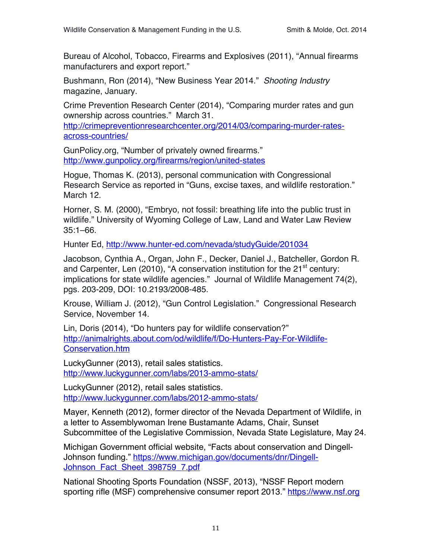Bureau of Alcohol, Tobacco, Firearms and Explosives (2011), "Annual firearms manufacturers and export report."

Bushmann, Ron (2014), "New Business Year 2014." *Shooting Industry* magazine, January.

Crime Prevention Research Center (2014), "Comparing murder rates and gun ownership across countries." March 31.

http://crimepreventionresearchcenter.org/2014/03/comparing-murder-ratesacross-countries/

GunPolicy.org, "Number of privately owned firearms." http://www.gunpolicy.org/firearms/region/united-states

Hogue, Thomas K. (2013), personal communication with Congressional Research Service as reported in "Guns, excise taxes, and wildlife restoration." March 12.

Horner, S. M. (2000), "Embryo, not fossil: breathing life into the public trust in wildlife." University of Wyoming College of Law, Land and Water Law Review 35:1–66.

Hunter Ed, http://www.hunter-ed.com/nevada/studyGuide/201034

Jacobson, Cynthia A., Organ, John F., Decker, Daniel J., Batcheller, Gordon R. and Carpenter, Len (2010), "A conservation institution for the  $21<sup>st</sup>$  century: implications for state wildlife agencies." Journal of Wildlife Management 74(2), pgs. 203-209, DOI: 10.2193/2008-485.

Krouse, William J. (2012), "Gun Control Legislation." Congressional Research Service, November 14.

Lin, Doris (2014), "Do hunters pay for wildlife conservation?" http://animalrights.about.com/od/wildlife/f/Do-Hunters-Pay-For-Wildlife-Conservation.htm

LuckyGunner (2013), retail sales statistics. http://www.luckygunner.com/labs/2013-ammo-stats/

LuckyGunner (2012), retail sales statistics. http://www.luckygunner.com/labs/2012-ammo-stats/

Mayer, Kenneth (2012), former director of the Nevada Department of Wildlife, in a letter to Assemblywoman Irene Bustamante Adams, Chair, Sunset Subcommittee of the Legislative Commission, Nevada State Legislature, May 24.

Michigan Government official website, "Facts about conservation and Dingell-Johnson funding." https://www.michigan.gov/documents/dnr/Dingell-Johnson Fact Sheet 398759 7.pdf

National Shooting Sports Foundation (NSSF, 2013), "NSSF Report modern sporting rifle (MSF) comprehensive consumer report 2013." https://www.nsf.org